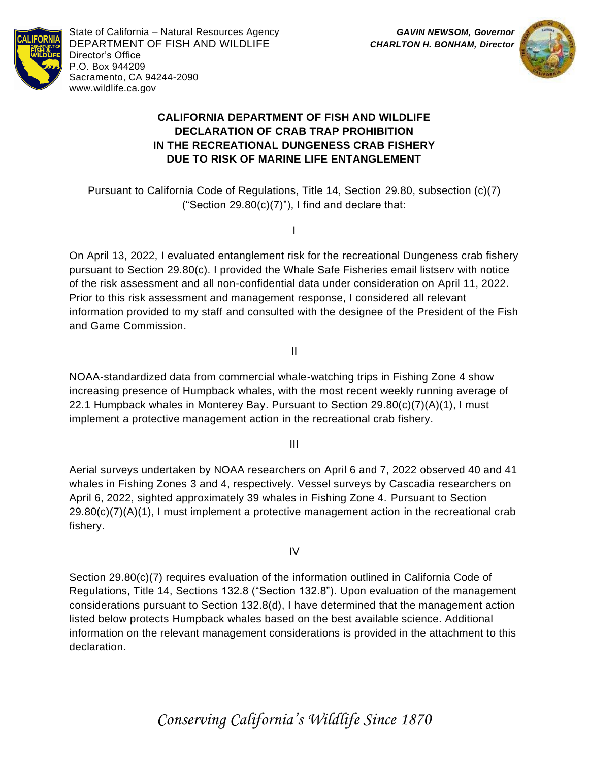

State of California – Natural Resources Agency *GAVIN NEWSOM, Governor* DEPARTMENT OF FISH AND WILDLIFE *CHARLTON H. BONHAM, Director*  Director's Office P.O. Box 944209 Sacramento, CA 94244-2090 www.wildlife.ca.gov



# **CALIFORNIA DEPARTMENT OF FISH AND WILDLIFE DECLARATION OF CRAB TRAP PROHIBITION IN THE RECREATIONAL DUNGENESS CRAB FISHERY DUE TO RISK OF MARINE LIFE ENTANGLEMENT**

Pursuant to California Code of Regulations, Title 14, Section 29.80, subsection (c)(7) ("Section  $29.80(c)(7)$ "), I find and declare that:

I

On April 13, 2022, I evaluated entanglement risk for the recreational Dungeness crab fishery pursuant to Section 29.80(c). I provided the Whale Safe Fisheries email listserv with notice of the risk assessment and all non-confidential data under consideration on April 11, 2022. Prior to this risk assessment and management response, I considered all relevant information provided to my staff and consulted with the designee of the President of the Fish and Game Commission.

II

NOAA-standardized data from commercial whale-watching trips in Fishing Zone 4 show increasing presence of Humpback whales, with the most recent weekly running average of 22.1 Humpback whales in Monterey Bay. Pursuant to Section 29.80(c)(7)(A)(1), I must implement a protective management action in the recreational crab fishery.

III

Aerial surveys undertaken by NOAA researchers on April 6 and 7, 2022 observed 40 and 41 whales in Fishing Zones 3 and 4, respectively. Vessel surveys by Cascadia researchers on April 6, 2022, sighted approximately 39 whales in Fishing Zone 4. Pursuant to Section  $29.80(c)(7)(A)(1)$ , I must implement a protective management action in the recreational crab fishery.

IV

Section 29.80(c)(7) requires evaluation of the information outlined in California Code of Regulations, Title 14, Sections 132.8 ("Section 132.8"). Upon evaluation of the management considerations pursuant to Section 132.8(d), I have determined that the management action listed below protects Humpback whales based on the best available science. Additional information on the relevant management considerations is provided in the attachment to this declaration.

*Conserving California's Wildlife Since 1870*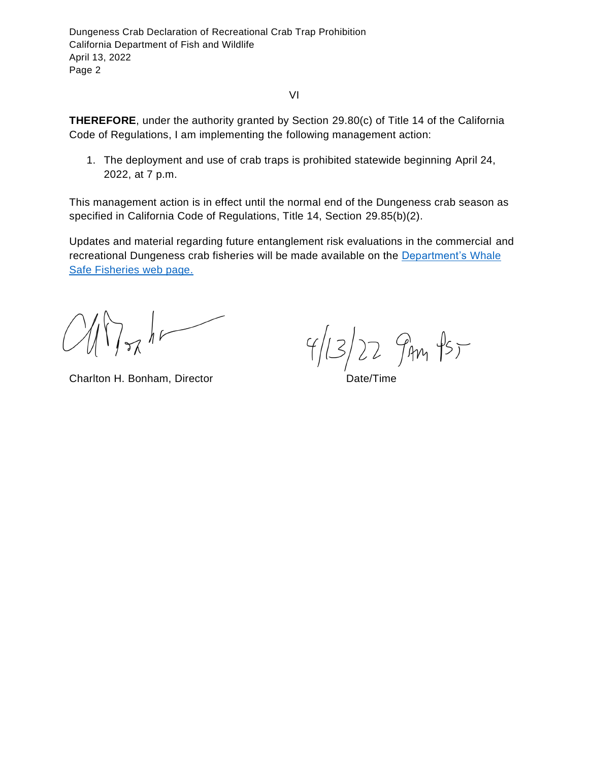VI

**THEREFORE**, under the authority granted by Section 29.80(c) of Title 14 of the California Code of Regulations, I am implementing the following management action:

1. The deployment and use of crab traps is prohibited statewide beginning April 24, 2022, at 7 p.m.

This management action is in effect until the normal end of the Dungeness crab season as specified in California Code of Regulations, Title 14, Section 29.85(b)(2).

Updates and material regarding future entanglement risk evaluations in the commercial and recreational Dungeness crab fisheries will be made available on the [Department's Whale](http://www.wildlife.ca.gov/Conservation/Marine/Whale-Safe-Fisheries)  [Safe Fisheries web page.](http://www.wildlife.ca.gov/Conservation/Marine/Whale-Safe-Fisheries)

 $\sim$  hr

Charlton H. Bonham, Director **Date/Time** 

 $4/13/22$   $9m$   $15-$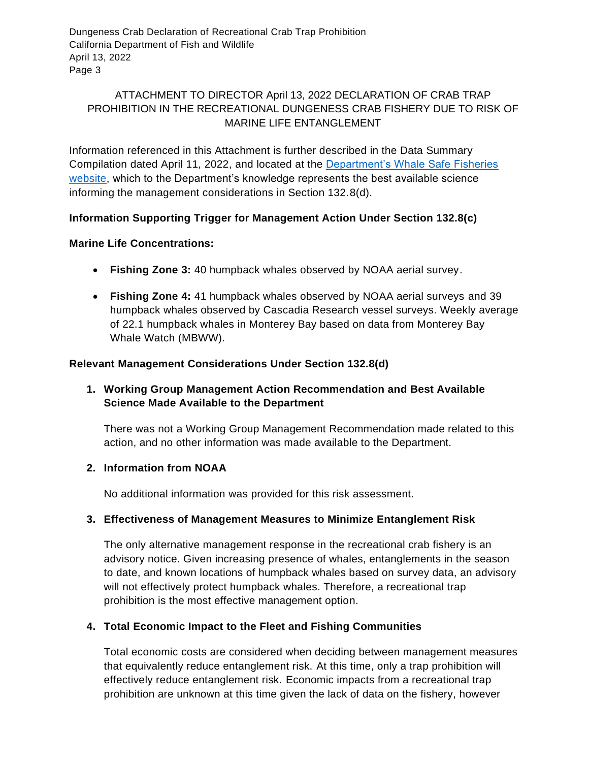# ATTACHMENT TO DIRECTOR April 13, 2022 DECLARATION OF CRAB TRAP PROHIBITION IN THE RECREATIONAL DUNGENESS CRAB FISHERY DUE TO RISK OF MARINE LIFE ENTANGLEMENT

Information referenced in this Attachment is further described in the Data Summary Compilation dated April 11, 2022, and located at the [Department's Whale Safe Fisheries](o%09https:/nrm.dfg.ca.gov/FileHandler.ashx?DocumentID=200637&inline)  [website,](o%09https:/nrm.dfg.ca.gov/FileHandler.ashx?DocumentID=200637&inline) which to the Department's knowledge represents the best available science informing the management considerations in Section 132.8(d).

# **Information Supporting Trigger for Management Action Under Section 132.8(c)**

#### **Marine Life Concentrations:**

- **Fishing Zone 3:** 40 humpback whales observed by NOAA aerial survey.
- **Fishing Zone 4:** 41 humpback whales observed by NOAA aerial surveys and 39 humpback whales observed by Cascadia Research vessel surveys. Weekly average of 22.1 humpback whales in Monterey Bay based on data from Monterey Bay Whale Watch (MBWW).

### **Relevant Management Considerations Under Section 132.8(d)**

# **1. Working Group Management Action Recommendation and Best Available Science Made Available to the Department**

There was not a Working Group Management Recommendation made related to this action, and no other information was made available to the Department.

# **2. Information from NOAA**

No additional information was provided for this risk assessment.

# **3. Effectiveness of Management Measures to Minimize Entanglement Risk**

The only alternative management response in the recreational crab fishery is an advisory notice. Given increasing presence of whales, entanglements in the season to date, and known locations of humpback whales based on survey data, an advisory will not effectively protect humpback whales. Therefore, a recreational trap prohibition is the most effective management option.

# **4. Total Economic Impact to the Fleet and Fishing Communities**

Total economic costs are considered when deciding between management measures that equivalently reduce entanglement risk. At this time, only a trap prohibition will effectively reduce entanglement risk. Economic impacts from a recreational trap prohibition are unknown at this time given the lack of data on the fishery, however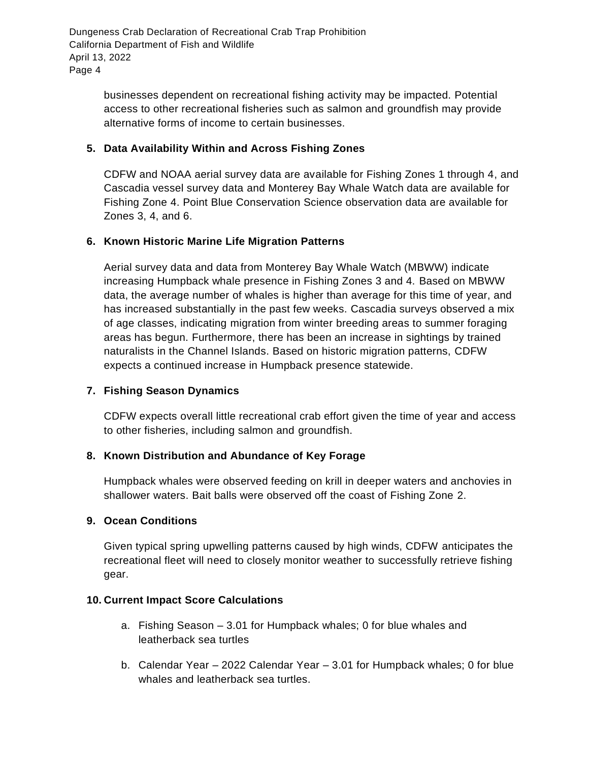> businesses dependent on recreational fishing activity may be impacted. Potential access to other recreational fisheries such as salmon and groundfish may provide alternative forms of income to certain businesses.

### **5. Data Availability Within and Across Fishing Zones**

CDFW and NOAA aerial survey data are available for Fishing Zones 1 through 4, and Cascadia vessel survey data and Monterey Bay Whale Watch data are available for Fishing Zone 4. Point Blue Conservation Science observation data are available for Zones 3, 4, and 6.

### **6. Known Historic Marine Life Migration Patterns**

Aerial survey data and data from Monterey Bay Whale Watch (MBWW) indicate increasing Humpback whale presence in Fishing Zones 3 and 4. Based on MBWW data, the average number of whales is higher than average for this time of year, and has increased substantially in the past few weeks. Cascadia surveys observed a mix of age classes, indicating migration from winter breeding areas to summer foraging areas has begun. Furthermore, there has been an increase in sightings by trained naturalists in the Channel Islands. Based on historic migration patterns, CDFW expects a continued increase in Humpback presence statewide.

#### **7. Fishing Season Dynamics**

CDFW expects overall little recreational crab effort given the time of year and access to other fisheries, including salmon and groundfish.

#### **8. Known Distribution and Abundance of Key Forage**

Humpback whales were observed feeding on krill in deeper waters and anchovies in shallower waters. Bait balls were observed off the coast of Fishing Zone 2.

#### **9. Ocean Conditions**

Given typical spring upwelling patterns caused by high winds, CDFW anticipates the recreational fleet will need to closely monitor weather to successfully retrieve fishing gear.

#### **10. Current Impact Score Calculations**

- a. Fishing Season 3.01 for Humpback whales; 0 for blue whales and leatherback sea turtles
- b. Calendar Year 2022 Calendar Year 3.01 for Humpback whales; 0 for blue whales and leatherback sea turtles.